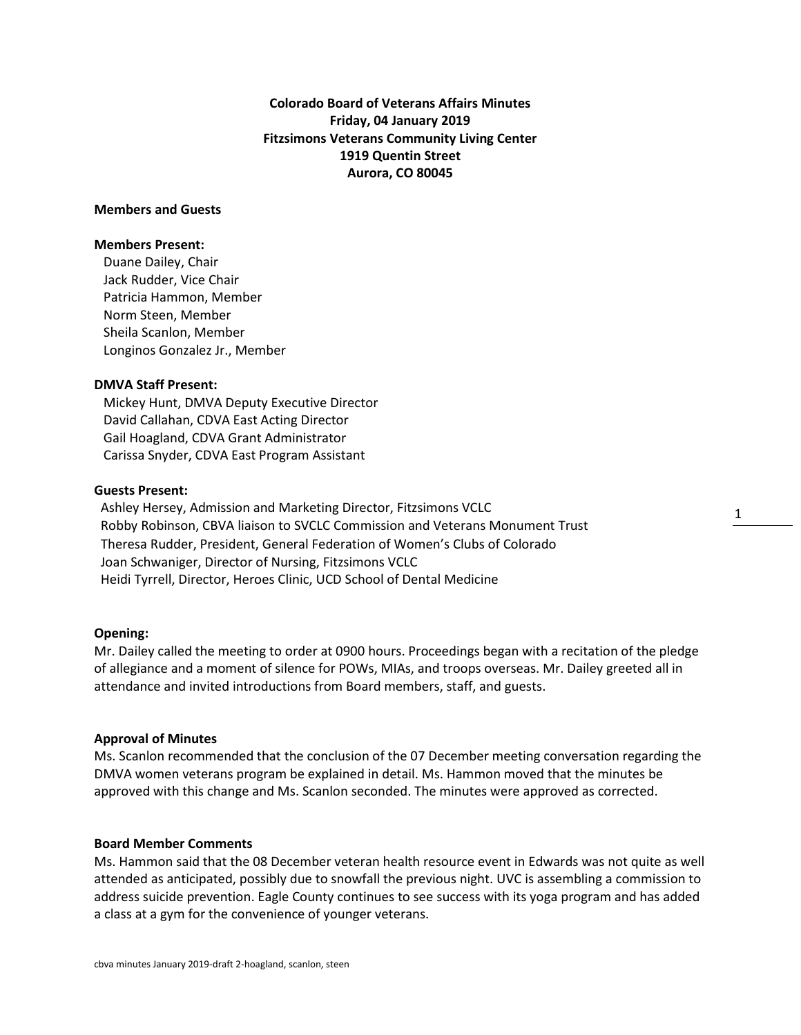**Colorado Board of Veterans Affairs Minutes Friday, 04 January 2019 Fitzsimons Veterans Community Living Center 1919 Quentin Street Aurora, CO 80045**

## **Members and Guests**

### **Members Present:**

Duane Dailey, Chair Jack Rudder, Vice Chair Patricia Hammon, Member Norm Steen, Member Sheila Scanlon, Member Longinos Gonzalez Jr., Member

### **DMVA Staff Present:**

Mickey Hunt, DMVA Deputy Executive Director David Callahan, CDVA East Acting Director Gail Hoagland, CDVA Grant Administrator Carissa Snyder, CDVA East Program Assistant

### **Guests Present:**

 Ashley Hersey, Admission and Marketing Director, Fitzsimons VCLC Robby Robinson, CBVA liaison to SVCLC Commission and Veterans Monument Trust Theresa Rudder, President, General Federation of Women's Clubs of Colorado Joan Schwaniger, Director of Nursing, Fitzsimons VCLC Heidi Tyrrell, Director, Heroes Clinic, UCD School of Dental Medicine

### **Opening:**

Mr. Dailey called the meeting to order at 0900 hours. Proceedings began with a recitation of the pledge of allegiance and a moment of silence for POWs, MIAs, and troops overseas. Mr. Dailey greeted all in attendance and invited introductions from Board members, staff, and guests.

1

## **Approval of Minutes**

Ms. Scanlon recommended that the conclusion of the 07 December meeting conversation regarding the DMVA women veterans program be explained in detail. Ms. Hammon moved that the minutes be approved with this change and Ms. Scanlon seconded. The minutes were approved as corrected.

### **Board Member Comments**

Ms. Hammon said that the 08 December veteran health resource event in Edwards was not quite as well attended as anticipated, possibly due to snowfall the previous night. UVC is assembling a commission to address suicide prevention. Eagle County continues to see success with its yoga program and has added a class at a gym for the convenience of younger veterans.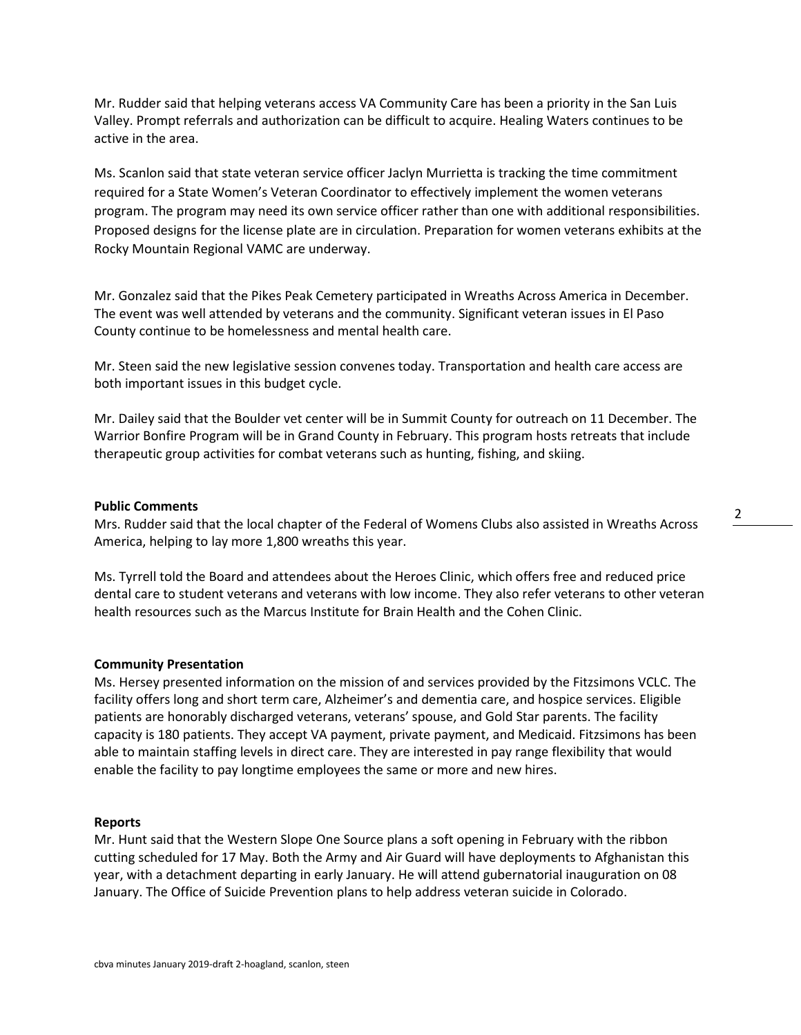Mr. Rudder said that helping veterans access VA Community Care has been a priority in the San Luis Valley. Prompt referrals and authorization can be difficult to acquire. Healing Waters continues to be active in the area.

Ms. Scanlon said that state veteran service officer Jaclyn Murrietta is tracking the time commitment required for a State Women's Veteran Coordinator to effectively implement the women veterans program. The program may need its own service officer rather than one with additional responsibilities. Proposed designs for the license plate are in circulation. Preparation for women veterans exhibits at the Rocky Mountain Regional VAMC are underway.

Mr. Gonzalez said that the Pikes Peak Cemetery participated in Wreaths Across America in December. The event was well attended by veterans and the community. Significant veteran issues in El Paso County continue to be homelessness and mental health care.

Mr. Steen said the new legislative session convenes today. Transportation and health care access are both important issues in this budget cycle.

Mr. Dailey said that the Boulder vet center will be in Summit County for outreach on 11 December. The Warrior Bonfire Program will be in Grand County in February. This program hosts retreats that include therapeutic group activities for combat veterans such as hunting, fishing, and skiing.

# **Public Comments**

Mrs. Rudder said that the local chapter of the Federal of Womens Clubs also assisted in Wreaths Across America, helping to lay more 1,800 wreaths this year.

Ms. Tyrrell told the Board and attendees about the Heroes Clinic, which offers free and reduced price dental care to student veterans and veterans with low income. They also refer veterans to other veteran health resources such as the Marcus Institute for Brain Health and the Cohen Clinic.

#### **Community Presentation**

Ms. Hersey presented information on the mission of and services provided by the Fitzsimons VCLC. The facility offers long and short term care, Alzheimer's and dementia care, and hospice services. Eligible patients are honorably discharged veterans, veterans' spouse, and Gold Star parents. The facility capacity is 180 patients. They accept VA payment, private payment, and Medicaid. Fitzsimons has been able to maintain staffing levels in direct care. They are interested in pay range flexibility that would enable the facility to pay longtime employees the same or more and new hires.

#### **Reports**

Mr. Hunt said that the Western Slope One Source plans a soft opening in February with the ribbon cutting scheduled for 17 May. Both the Army and Air Guard will have deployments to Afghanistan this year, with a detachment departing in early January. He will attend gubernatorial inauguration on 08 January. The Office of Suicide Prevention plans to help address veteran suicide in Colorado.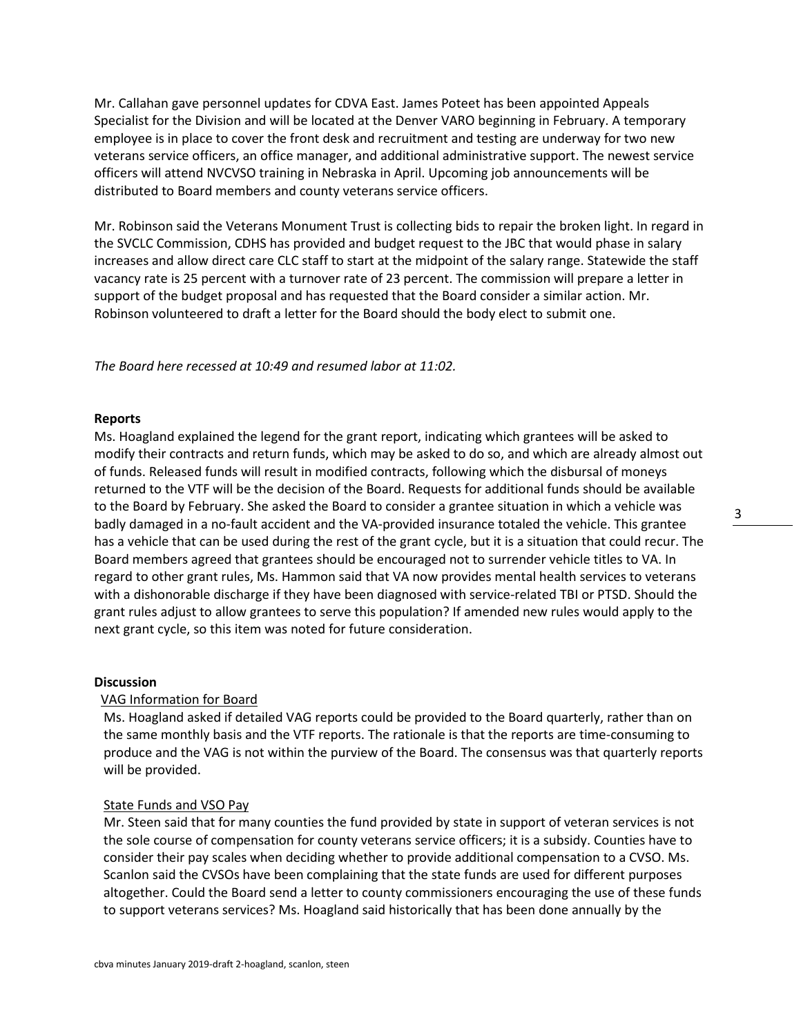Mr. Callahan gave personnel updates for CDVA East. James Poteet has been appointed Appeals Specialist for the Division and will be located at the Denver VARO beginning in February. A temporary employee is in place to cover the front desk and recruitment and testing are underway for two new veterans service officers, an office manager, and additional administrative support. The newest service officers will attend NVCVSO training in Nebraska in April. Upcoming job announcements will be distributed to Board members and county veterans service officers.

Mr. Robinson said the Veterans Monument Trust is collecting bids to repair the broken light. In regard in the SVCLC Commission, CDHS has provided and budget request to the JBC that would phase in salary increases and allow direct care CLC staff to start at the midpoint of the salary range. Statewide the staff vacancy rate is 25 percent with a turnover rate of 23 percent. The commission will prepare a letter in support of the budget proposal and has requested that the Board consider a similar action. Mr. Robinson volunteered to draft a letter for the Board should the body elect to submit one.

*The Board here recessed at 10:49 and resumed labor at 11:02.*

### **Reports**

Ms. Hoagland explained the legend for the grant report, indicating which grantees will be asked to modify their contracts and return funds, which may be asked to do so, and which are already almost out of funds. Released funds will result in modified contracts, following which the disbursal of moneys returned to the VTF will be the decision of the Board. Requests for additional funds should be available to the Board by February. She asked the Board to consider a grantee situation in which a vehicle was badly damaged in a no-fault accident and the VA-provided insurance totaled the vehicle. This grantee has a vehicle that can be used during the rest of the grant cycle, but it is a situation that could recur. The Board members agreed that grantees should be encouraged not to surrender vehicle titles to VA. In regard to other grant rules, Ms. Hammon said that VA now provides mental health services to veterans with a dishonorable discharge if they have been diagnosed with service-related TBI or PTSD. Should the grant rules adjust to allow grantees to serve this population? If amended new rules would apply to the next grant cycle, so this item was noted for future consideration.

# **Discussion**

# VAG Information for Board

Ms. Hoagland asked if detailed VAG reports could be provided to the Board quarterly, rather than on the same monthly basis and the VTF reports. The rationale is that the reports are time-consuming to produce and the VAG is not within the purview of the Board. The consensus was that quarterly reports will be provided.

# State Funds and VSO Pay

Mr. Steen said that for many counties the fund provided by state in support of veteran services is not the sole course of compensation for county veterans service officers; it is a subsidy. Counties have to consider their pay scales when deciding whether to provide additional compensation to a CVSO. Ms. Scanlon said the CVSOs have been complaining that the state funds are used for different purposes altogether. Could the Board send a letter to county commissioners encouraging the use of these funds to support veterans services? Ms. Hoagland said historically that has been done annually by the